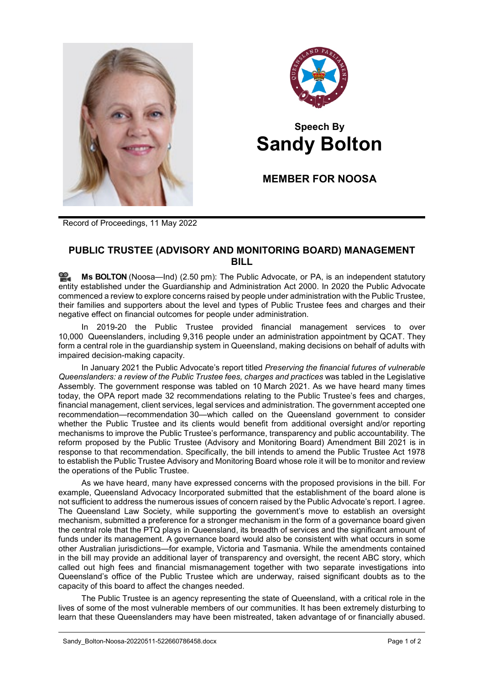



## **Speech By Sandy Bolton**

**MEMBER FOR NOOSA**

Record of Proceedings, 11 May 2022

## **PUBLIC TRUSTEE (ADVISORY AND MONITORING BOARD) MANAGEMENT BILL**

≌. **Ms [BOLTON](http://www.parliament.qld.gov.au/docs/find.aspx?id=0Mba20220511_145032)** (Noosa—Ind) (2.50 pm): The Public Advocate, or PA, is an independent statutory entity established under the Guardianship and Administration Act 2000. In 2020 the Public Advocate commenced a review to explore concerns raised by people under administration with the Public Trustee, their families and supporters about the level and types of Public Trustee fees and charges and their negative effect on financial outcomes for people under administration.

In 2019-20 the Public Trustee provided financial management services to over 10,000 Queenslanders, including 9,316 people under an administration appointment by QCAT. They form a central role in the guardianship system in Queensland, making decisions on behalf of adults with impaired decision-making capacity.

In January 2021 the Public Advocate's report titled *Preserving the financial futures of vulnerable Queenslanders: a review of the Public Trustee fees, charges and practices* was tabled in the Legislative Assembly. The government response was tabled on 10 March 2021. As we have heard many times today, the OPA report made 32 recommendations relating to the Public Trustee's fees and charges, financial management, client services, legal services and administration. The government accepted one recommendation—recommendation 30—which called on the Queensland government to consider whether the Public Trustee and its clients would benefit from additional oversight and/or reporting mechanisms to improve the Public Trustee's performance, transparency and public accountability. The reform proposed by the Public Trustee (Advisory and Monitoring Board) Amendment Bill 2021 is in response to that recommendation. Specifically, the bill intends to amend the Public Trustee Act 1978 to establish the Public Trustee Advisory and Monitoring Board whose role it will be to monitor and review the operations of the Public Trustee.

As we have heard, many have expressed concerns with the proposed provisions in the bill. For example, Queensland Advocacy Incorporated submitted that the establishment of the board alone is not sufficient to address the numerous issues of concern raised by the Public Advocate's report. I agree. The Queensland Law Society, while supporting the government's move to establish an oversight mechanism, submitted a preference for a stronger mechanism in the form of a governance board given the central role that the PTQ plays in Queensland, its breadth of services and the significant amount of funds under its management. A governance board would also be consistent with what occurs in some other Australian jurisdictions—for example, Victoria and Tasmania. While the amendments contained in the bill may provide an additional layer of transparency and oversight, the recent ABC story, which called out high fees and financial mismanagement together with two separate investigations into Queensland's office of the Public Trustee which are underway, raised significant doubts as to the capacity of this board to affect the changes needed.

The Public Trustee is an agency representing the state of Queensland, with a critical role in the lives of some of the most vulnerable members of our communities. It has been extremely disturbing to learn that these Queenslanders may have been mistreated, taken advantage of or financially abused.